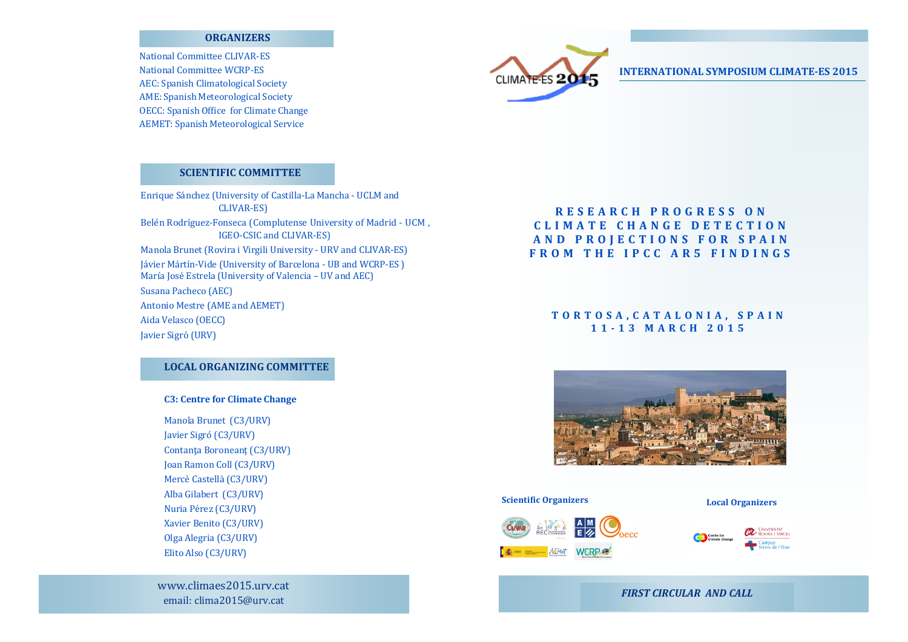### **ORGANIZERS**

**National Committee CLIVAR-ES National Committee WCRP-ES** AEC: Spanish Climatological Society **AME: Spanish Meteorological Society OECC:** Spanish Office for Climate Change **AEMET: Spanish Meteorological Service** 

# **SCIENTIFIC COMMITTEE**

Enrique Sánchez (University of Castilla-La Mancha - UCLM and **CLIVAR-ES)** Belén Rodríguez-Fonseca (Complutense University of Madrid - UCM, IGEO-CSIC and CLIVAR-ES) Manola Brunet (Rovira i Virgili University - URV and CLIVAR-ES) Jávier Mártín-Vide (University of Barcelona - UB and WCRP-ES) María José Estrela (University of Valencia - UV and AEC) Susana Pacheco (AEC) **Antonio Mestre (AME and AEMET)** Aida Velasco (OECC) Javier Sigró (URV)

## **LOCAL ORGANIZING COMMITTEE**

### **C3: Centre for Climate Change**

Manola Brunet (C3/URV) Javier Sigró (C3/URV) Contanța Boroneanț (C3/URV) Joan Ramon Coll (C3/URV) Mercè Castellà (C3/URV) Alba Gilabert (C3/URV) Nuria Pérez (C3/URV) Xavier Benito (C3/URV) Olga Alegria (C3/URV) Elito Also (C3/URV)

www.climaes2015.urv.cat email: clima2015@urv.cat

**CLIMATE-ES 20** 

## **INTERNATIONAL SYMPOSIUM CLIMATE-ES 2015**

# RESEARCH PROGRESS ON CLIMATE CHANGE DETECTION AND PROJECTIONS FOR SPAIN FROM THE IPCC AR5 FINDINGS

# TORTOSA, CATALONIA, SPAIN 11-13 MARCH 2015



#### **Scientific Organizers**

#### **Local Organizers**





# **FIRST CIRCULAR AND CALL**